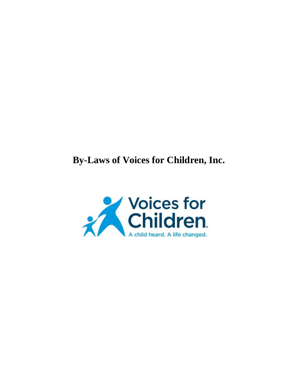# **By-Laws of Voices for Children, Inc.**

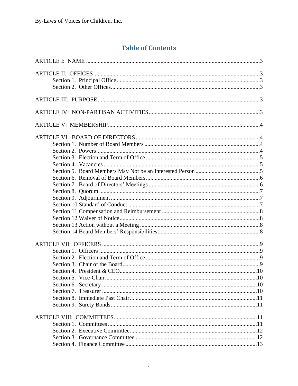## **Table of Contents**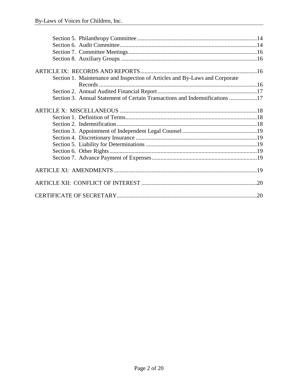| Section 1. Maintenance and Inspection of Articles and By-Laws and Corporate |  |
|-----------------------------------------------------------------------------|--|
|                                                                             |  |
|                                                                             |  |
| Section 3. Annual Statement of Certain Transactions and Indemnifications 17 |  |
|                                                                             |  |
|                                                                             |  |
|                                                                             |  |
|                                                                             |  |
|                                                                             |  |
|                                                                             |  |
|                                                                             |  |
|                                                                             |  |
|                                                                             |  |
|                                                                             |  |
|                                                                             |  |
|                                                                             |  |
|                                                                             |  |
|                                                                             |  |
|                                                                             |  |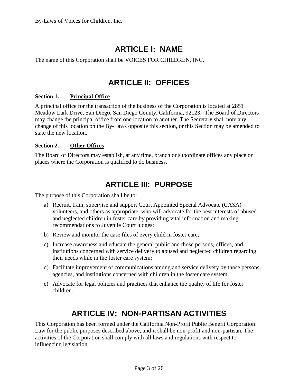## **ARTICLE I: NAME**

<span id="page-3-0"></span>The name of this Corporation shall be VOICES FOR CHILDREN, INC.

## **ARTICLE II: OFFICES**

## <span id="page-3-2"></span><span id="page-3-1"></span>**Section 1. Principal Office**

A principal office for the transaction of the business of the Corporation is located at 2851 Meadow Lark Drive, San Diego, San Diego County, California, 92123. The Board of Directors may change the principal office from one location to another. The Secretary shall note any change of this location on the By-Laws opposite this section, or this Section may be amended to state the new location.

## <span id="page-3-3"></span>**Section 2. Other Offices**

The Board of Directors may establish, at any time, branch or subordinate offices any place or places where the Corporation is qualified to do business.

## **ARTICLE III: PURPOSE**

<span id="page-3-4"></span>The purpose of this Corporation shall be to:

- a) Recruit, train, supervise and support Court Appointed Special Advocate (CASA) volunteers, and others as appropriate, who will advocate for the best interests of abused and neglected children in foster care by providing vital information and making recommendations to Juvenile Court judges;
- b) Review and monitor the case files of every child in foster care;
- c) Increase awareness and educate the general public and those persons, offices, and institutions concerned with service delivery to abused and neglected children regarding their needs while in the foster care system;
- d) Facilitate improvement of communications among and service delivery by those persons, agencies, and institutions concerned with children in the foster care system.
- e) Advocate for legal policies and practices that enhance the quality of life for foster children.

## **ARTICLE IV: NON-PARTISAN ACTIVITIES**

<span id="page-3-5"></span>This Corporation has been formed under the California Non-Profit Public Benefit Corporation Law for the public purposes described above, and it shall be non-profit and non-partisan. The activities of the Corporation shall comply with all laws and regulations with respect to influencing legislation.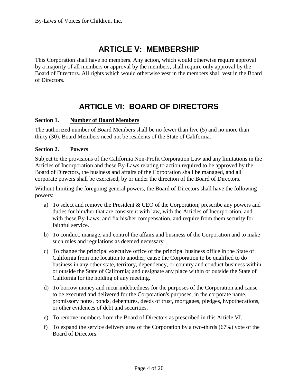## **ARTICLE V: MEMBERSHIP**

<span id="page-4-0"></span>This Corporation shall have no members. Any action, which would otherwise require approval by a majority of all members or approval by the members, shall require only approval by the Board of Directors. All rights which would otherwise vest in the members shall vest in the Board of Directors.

## **ARTICLE VI: BOARD OF DIRECTORS**

#### <span id="page-4-2"></span><span id="page-4-1"></span>**Section 1. Number of Board Members**

The authorized number of Board Members shall be no fewer than five (5) and no more than thirty (30). Board Members need not be residents of the State of California.

### <span id="page-4-3"></span>**Section 2. Powers**

Subject to the provisions of the California Non-Profit Corporation Law and any limitations in the Articles of Incorporation and these By-Laws relating to action required to be approved by the Board of Directors, the business and affairs of the Corporation shall be managed, and all corporate powers shall be exercised, by or under the direction of the Board of Directors.

Without limiting the foregoing general powers, the Board of Directors shall have the following powers:

- a) To select and remove the President & CEO of the Corporation; prescribe any powers and duties for him/her that are consistent with law, with the Articles of Incorporation, and with these By-Laws; and fix his/her compensation, and require from them security for faithful service.
- b) To conduct, manage, and control the affairs and business of the Corporation and to make such rules and regulations as deemed necessary.
- c) To change the principal executive office of the principal business office in the State of California from one location to another; cause the Corporation to be qualified to do business in any other state, territory, dependency, or country and conduct business within or outside the State of California; and designate any place within or outside the State of California for the holding of any meeting.
- d) To borrow money and incur indebtedness for the purposes of the Corporation and cause to be executed and delivered for the Corporation's purposes, in the corporate name, promissory notes, bonds, debentures, deeds of trust, mortgages, pledges, hypothecations, or other evidences of debt and securities.
- e) To remove members from the Board of Directors as prescribed in this Article VI.
- f) To expand the service delivery area of the Corporation by a two-thirds (67%) vote of the Board of Directors.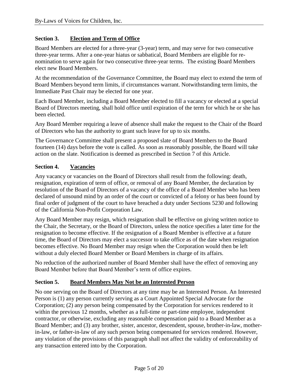## <span id="page-5-0"></span>**Section 3. Election and Term of Office**

Board Members are elected for a three-year (3-year) term, and may serve for two consecutive three-year terms. After a one-year hiatus or sabbatical, Board Members are eligible for renomination to serve again for two consecutive three-year terms. The existing Board Members elect new Board Members.

At the recommendation of the Governance Committee, the Board may elect to extend the term of Board Members beyond term limits, if circumstances warrant. Notwithstanding term limits, the Immediate Past Chair may be elected for one year.

Each Board Member, including a Board Member elected to fill a vacancy or elected at a special Board of Directors meeting, shall hold office until expiration of the term for which he or she has been elected.

Any Board Member requiring a leave of absence shall make the request to the Chair of the Board of Directors who has the authority to grant such leave for up to six months.

The Governance Committee shall present a proposed slate of Board Members to the Board fourteen (14) days before the vote is called. As soon as reasonably possible, the Board will take action on the slate. Notification is deemed as prescribed in Section 7 of this Article.

#### <span id="page-5-1"></span>**Section 4. Vacancies**

Any vacancy or vacancies on the Board of Directors shall result from the following: death, resignation, expiration of term of office, or removal of any Board Member, the declaration by resolution of the Board of Directors of a vacancy of the office of a Board Member who has been declared of unsound mind by an order of the court or convicted of a felony or has been found by final order of judgment of the court to have breached a duty under Sections 5230 and following of the California Non-Profit Corporation Law.

Any Board Member may resign, which resignation shall be effective on giving written notice to the Chair, the Secretary, or the Board of Directors, unless the notice specifies a later time for the resignation to become effective. If the resignation of a Board Member is effective at a future time, the Board of Directors may elect a successor to take office as of the date when resignation becomes effective. No Board Member may resign when the Corporation would then be left without a duly elected Board Member or Board Members in charge of its affairs.

No reduction of the authorized number of Board Member shall have the effect of removing any Board Member before that Board Member's term of office expires.

#### <span id="page-5-2"></span>**Section 5. Board Members May Not be an Interested Person**

No one serving on the Board of Directors at any time may be an Interested Person. An Interested Person is (1) any person currently serving as a Court Appointed Special Advocate for the Corporation; (2) any person being compensated by the Corporation for services rendered to it within the previous 12 months, whether as a full-time or part-time employee, independent contractor, or otherwise, excluding any reasonable compensation paid to a Board Member as a Board Member; and (3) any brother, sister, ancestor, descendent, spouse, brother-in-law, motherin-law, or father-in-law of any such person being compensated for services rendered. However, any violation of the provisions of this paragraph shall not affect the validity of enforceability of any transaction entered into by the Corporation.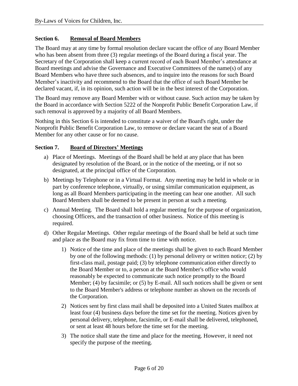## <span id="page-6-0"></span>**Section 6. Removal of Board Members**

The Board may at any time by formal resolution declare vacant the office of any Board Member who has been absent from three (3) regular meetings of the Board during a fiscal year. The Secretary of the Corporation shall keep a current record of each Board Member's attendance at Board meetings and advise the Governance and Executive Committees of the name(s) of any Board Members who have three such absences, and to inquire into the reasons for such Board Member's inactivity and recommend to the Board that the office of such Board Member be declared vacant, if, in its opinion, such action will be in the best interest of the Corporation.

The Board may remove any Board Member with or without cause. Such action may be taken by the Board in accordance with Section 5222 of the Nonprofit Public Benefit Corporation Law, if such removal is approved by a majority of all Board Members.

Nothing in this Section 6 is intended to constitute a waiver of the Board's right, under the Nonprofit Public Benefit Corporation Law, to remove or declare vacant the seat of a Board Member for any other cause or for no cause.

### <span id="page-6-1"></span>**Section 7. Board of Directors' Meetings**

- a) Place of Meetings. Meetings of the Board shall be held at any place that has been designated by resolution of the Board, or in the notice of the meeting, or if not so designated, at the principal office of the Corporation.
- b) Meetings by Telephone or in a Virtual Format. Any meeting may be held in whole or in part by conference telephone, virtually, or using similar communication equipment, as long as all Board Members participating in the meeting can hear one another. All such Board Members shall be deemed to be present in person at such a meeting.
- c) Annual Meeting. The Board shall hold a regular meeting for the purpose of organization, choosing Officers, and the transaction of other business. Notice of this meeting is required.
- d) Other Regular Meetings. Other regular meetings of the Board shall be held at such time and place as the Board may fix from time to time with notice.
	- 1) Notice of the time and place of the meetings shall be given to each Board Member by one of the following methods: (1) by personal delivery or written notice; (2) by first-class mail, postage paid; (3) by telephone communication either directly to the Board Member or to, a person at the Board Member's office who would reasonably be expected to communicate such notice promptly to the Board Member; (4) by facsimile; or (5) by E-mail. All such notices shall be given or sent to the Board Member's address or telephone number as shown on the records of the Corporation.
	- 2) Notices sent by first class mail shall be deposited into a United States mailbox at least four (4) business days before the time set for the meeting. Notices given by personal delivery, telephone, facsimile, or E-mail shall be delivered, telephoned, or sent at least 48 hours before the time set for the meeting.
	- 3) The notice shall state the time and place for the meeting. However, it need not specify the purpose of the meeting.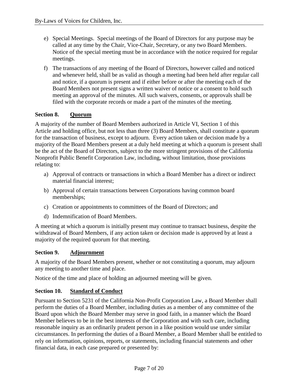- e) Special Meetings. Special meetings of the Board of Directors for any purpose may be called at any time by the Chair, Vice-Chair, Secretary, or any two Board Members. Notice of the special meeting must be in accordance with the notice required for regular meetings.
- f) The transactions of any meeting of the Board of Directors, however called and noticed and whenever held, shall be as valid as though a meeting had been held after regular call and notice, if a quorum is present and if either before or after the meeting each of the Board Members not present signs a written waiver of notice or a consent to hold such meeting an approval of the minutes. All such waivers, consents, or approvals shall be filed with the corporate records or made a part of the minutes of the meeting.

## <span id="page-7-0"></span>**Section 8. Quorum**

A majority of the number of Board Members authorized in Article VI, Section 1 of this Article and holding office, but not less than three (3) Board Members, shall constitute a quorum for the transaction of business, except to adjourn. Every action taken or decision made by a majority of the Board Members present at a duly held meeting at which a quorum is present shall be the act of the Board of Directors, subject to the more stringent provisions of the California Nonprofit Public Benefit Corporation Law, including, without limitation, those provisions relating to:

- a) Approval of contracts or transactions in which a Board Member has a direct or indirect material financial interest;
- b) Approval of certain transactions between Corporations having common board memberships;
- c) Creation or appointments to committees of the Board of Directors; and
- d) Indemnification of Board Members.

A meeting at which a quorum is initially present may continue to transact business, despite the withdrawal of Board Members, if any action taken or decision made is approved by at least a majority of the required quorum for that meeting.

## <span id="page-7-1"></span>**Section 9. Adjournment**

A majority of the Board Members present, whether or not constituting a quorum, may adjourn any meeting to another time and place.

Notice of the time and place of holding an adjourned meeting will be given.

## <span id="page-7-2"></span>**Section 10. Standard of Conduct**

Pursuant to Section 5231 of the California Non-Profit Corporation Law, a Board Member shall perform the duties of a Board Member, including duties as a member of any committee of the Board upon which the Board Member may serve in good faith, in a manner which the Board Member believes to be in the best interests of the Corporation and with such care, including reasonable inquiry as an ordinarily prudent person in a like position would use under similar circumstances. In performing the duties of a Board Member, a Board Member shall be entitled to rely on information, opinions, reports, or statements, including financial statements and other financial data, in each case prepared or presented by: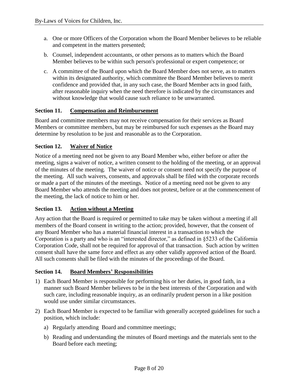- a. One or more Officers of the Corporation whom the Board Member believes to be reliable and competent in the matters presented;
- b. Counsel, independent accountants, or other persons as to matters which the Board Member believes to be within such person's professional or expert competence; or
- c. A committee of the Board upon which the Board Member does not serve, as to matters within its designated authority, which committee the Board Member believes to merit confidence and provided that, in any such case, the Board Member acts in good faith, after reasonable inquiry when the need therefore is indicated by the circumstances and without knowledge that would cause such reliance to be unwarranted.

## <span id="page-8-0"></span>**Section 11. Compensation and Reimbursement**

Board and committee members may not receive compensation for their services as Board Members or committee members, but may be reimbursed for such expenses as the Board may determine by resolution to be just and reasonable as to the Corporation.

### <span id="page-8-1"></span>**Section 12. Waiver of Notice**

Notice of a meeting need not be given to any Board Member who, either before or after the meeting, signs a waiver of notice, a written consent to the holding of the meeting, or an approval of the minutes of the meeting. The waiver of notice or consent need not specify the purpose of the meeting. All such waivers, consents, and approvals shall be filed with the corporate records or made a part of the minutes of the meetings. Notice of a meeting need not be given to any Board Member who attends the meeting and does not protest, before or at the commencement of the meeting, the lack of notice to him or her.

#### <span id="page-8-2"></span>**Section 13. Action without a Meeting**

Any action that the Board is required or permitted to take may be taken without a meeting if all members of the Board consent in writing to the action; provided, however, that the consent of any Board Member who has a material financial interest in a transaction to which the Corporation is a party and who is an "interested director," as defined in §5233 of the California Corporation Code, shall not be required for approval of that transaction. Such action by written consent shall have the same force and effect as any other validly approved action of the Board. All such consents shall be filed with the minutes of the proceedings of the Board.

#### <span id="page-8-3"></span>**Section 14. Board Members' Responsibilities**

- 1) Each Board Member is responsible for performing his or her duties, in good faith, in a manner such Board Member believes to be in the best interests of the Corporation and with such care, including reasonable inquiry, as an ordinarily prudent person in a like position would use under similar circumstances.
- 2) Each Board Member is expected to be familiar with generally accepted guidelines for such a position, which include:
	- a) Regularly attending Board and committee meetings;
	- b) Reading and understanding the minutes of Board meetings and the materials sent to the Board before each meeting;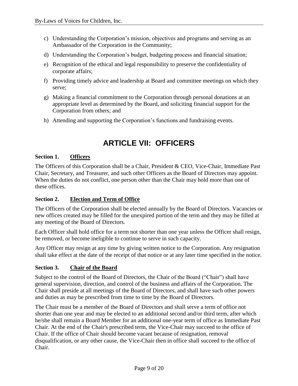- c) Understanding the Corporation's mission, objectives and programs and serving as an Ambassador of the Corporation in the Community;
- d) Understanding the Corporation's budget, budgeting process and financial situation;
- e) Recognition of the ethical and legal responsibility to preserve the confidentiality of corporate affairs;
- f) Providing timely advice and leadership at Board and committee meetings on which they serve;
- g) Making a financial commitment to the Corporation through personal donations at an appropriate level as determined by the Board, and soliciting financial support for the Corporation from others; and
- h) Attending and supporting the Corporation's functions and fundraising events.

## **ARTICLE VII: OFFICERS**

## <span id="page-9-1"></span><span id="page-9-0"></span>**Section 1. Officers**

The Officers of this Corporation shall be a Chair, President & CEO, Vice-Chair, Immediate Past Chair, Secretary, and Treasurer, and such other Officers as the Board of Directors may appoint. When the duties do not conflict, one person other than the Chair may hold more than one of these offices.

## <span id="page-9-2"></span>**Section 2. Election and Term of Office**

The Officers of the Corporation shall be elected annually by the Board of Directors. Vacancies or new offices created may be filled for the unexpired portion of the term and they may be filled at any meeting of the Board of Directors.

Each Officer shall hold office for a term not shorter than one year unless the Officer shall resign, be removed, or become ineligible to continue to serve in such capacity.

Any Officer may resign at any time by giving written notice to the Corporation. Any resignation shall take effect at the date of the receipt of that notice or at any later time specified in the notice.

## <span id="page-9-3"></span>**Section 3. Chair of the Board**

Subject to the control of the Board of Directors, the Chair of the Board ("Chair") shall have general supervision, direction, and control of the business and affairs of the Corporation. The Chair shall preside at all meetings of the Board of Directors, and shall have such other powers and duties as may be prescribed from time to time by the Board of Directors.

The Chair must be a member of the Board of Directors and shall serve a term of office not shorter than one year and may be elected to an additional second and/or third term, after which he/she shall remain a Board Member for an additional one-year term of office as Immediate Past Chair. At the end of the Chair's prescribed term, the Vice-Chair may succeed to the office of Chair. If the office of Chair should become vacant because of resignation, removal disqualification, or any other cause, the Vice-Chair then in office shall succeed to the office of Chair.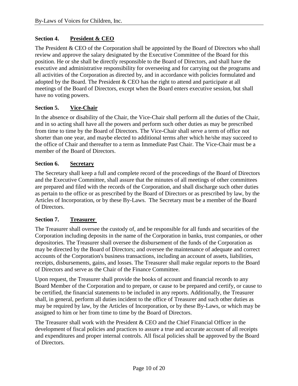## <span id="page-10-0"></span>**Section 4. President & CEO**

The President & CEO of the Corporation shall be appointed by the Board of Directors who shall review and approve the salary designated by the Executive Committee of the Board for this position. He or she shall be directly responsible to the Board of Directors, and shall have the executive and administrative responsibility for overseeing and for carrying out the programs and all activities of the Corporation as directed by, and in accordance with policies formulated and adopted by the Board. The President & CEO has the right to attend and participate at all meetings of the Board of Directors, except when the Board enters executive session, but shall have no voting powers.

### <span id="page-10-1"></span>**Section 5. Vice-Chair**

In the absence or disability of the Chair, the Vice-Chair shall perform all the duties of the Chair, and in so acting shall have all the powers and perform such other duties as may be prescribed from time to time by the Board of Directors. The Vice-Chair shall serve a term of office not shorter than one year, and maybe elected to additional terms after which he/she may succeed to the office of Chair and thereafter to a term as Immediate Past Chair. The Vice-Chair must be a member of the Board of Directors.

### <span id="page-10-2"></span>**Section 6. Secretary**

The Secretary shall keep a full and complete record of the proceedings of the Board of Directors and the Executive Committee, shall assure that the minutes of all meetings of other committees are prepared and filed with the records of the Corporation, and shall discharge such other duties as pertain to the office or as prescribed by the Board of Directors or as prescribed by law, by the Articles of Incorporation, or by these By-Laws. The Secretary must be a member of the Board of Directors.

#### <span id="page-10-3"></span>**Section 7. Treasurer**

The Treasurer shall oversee the custody of, and be responsible for all funds and securities of the Corporation including deposits in the name of the Corporation in banks, trust companies, or other depositories. The Treasurer shall oversee the disbursement of the funds of the Corporation as may be directed by the Board of Directors; and oversee the maintenance of adequate and correct accounts of the Corporation's business transactions, including an account of assets, liabilities, receipts, disbursements, gains, and losses. The Treasurer shall make regular reports to the Board of Directors and serve as the Chair of the Finance Committee.

Upon request, the Treasurer shall provide the books of account and financial records to any Board Member of the Corporation and to prepare, or cause to be prepared and certify, or cause to be certified, the financial statements to be included in any reports. Additionally, the Treasurer shall, in general, perform all duties incident to the office of Treasurer and such other duties as may be required by law, by the Articles of Incorporation, or by these By-Laws, or which may be assigned to him or her from time to time by the Board of Directors.

The Treasurer shall work with the President & CEO and the Chief Financial Officer in the development of fiscal policies and practices to assure a true and accurate account of all receipts and expenditures and proper internal controls. All fiscal policies shall be approved by the Board of Directors.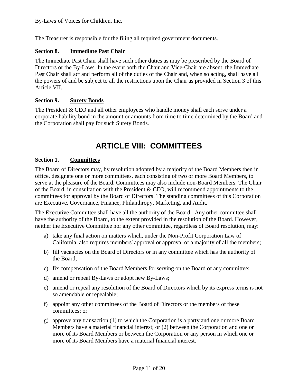The Treasurer is responsible for the filing all required government documents.

### <span id="page-11-0"></span>**Section 8. Immediate Past Chair**

The Immediate Past Chair shall have such other duties as may be prescribed by the Board of Directors or the By-Laws. In the event both the Chair and Vice-Chair are absent, the Immediate Past Chair shall act and perform all of the duties of the Chair and, when so acting, shall have all the powers of and be subject to all the restrictions upon the Chair as provided in Section 3 of this Article VII.

### <span id="page-11-1"></span>**Section 9. Surety Bonds**

The President & CEO and all other employees who handle money shall each serve under a corporate liability bond in the amount or amounts from time to time determined by the Board and the Corporation shall pay for such Surety Bonds.

## **ARTICLE VIII: COMMITTEES**

#### <span id="page-11-3"></span><span id="page-11-2"></span>**Section 1. Committees**

The Board of Directors may, by resolution adopted by a majority of the Board Members then in office, designate one or more committees, each consisting of two or more Board Members, to serve at the pleasure of the Board. Committees may also include non-Board Members. The Chair of the Board, in consultation with the President & CEO, will recommend appointments to the committees for approval by the Board of Directors. The standing committees of this Corporation are Executive, Governance, Finance, Philanthropy, Marketing, and Audit.

The Executive Committee shall have all the authority of the Board. Any other committee shall have the authority of the Board, to the extent provided in the resolution of the Board. However, neither the Executive Committee nor any other committee, regardless of Board resolution, may:

- a) take any final action on matters which, under the Non-Profit Corporation Law of California, also requires members' approval or approval of a majority of all the members;
- b) fill vacancies on the Board of Directors or in any committee which has the authority of the Board;
- c) fix compensation of the Board Members for serving on the Board of any committee;
- d) amend or repeal By-Laws or adopt new By-Laws;
- e) amend or repeal any resolution of the Board of Directors which by its express terms is not so amendable or repealable;
- f) appoint any other committees of the Board of Directors or the members of these committees; or
- g) approve any transaction (1) to which the Corporation is a party and one or more Board Members have a material financial interest; or (2) between the Corporation and one or more of its Board Members or between the Corporation or any person in which one or more of its Board Members have a material financial interest.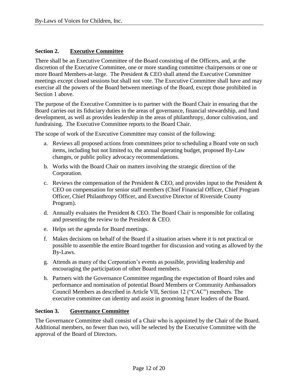### <span id="page-12-0"></span>**Section 2. Executive Committee**

There shall be an Executive Committee of the Board consisting of the Officers, and, at the discretion of the Executive Committee, one or more standing committee chairpersons or one or more Board Members-at-large. The President & CEO shall attend the Executive Committee meetings except closed sessions but shall not vote. The Executive Committee shall have and may exercise all the powers of the Board between meetings of the Board, except those prohibited in Section 1 above.

The purpose of the Executive Committee is to partner with the Board Chair in ensuring that the Board carries out its fiduciary duties in the areas of governance, financial stewardship, and fund development, as well as provides leadership in the areas of philanthropy, donor cultivation, and fundraising. The Executive Committee reports to the Board Chair.

The scope of work of the Executive Committee may consist of the following:

- a. Reviews all proposed actions from committees prior to scheduling a Board vote on such items, including but not limited to, the annual operating budget, proposed By-Law changes, or public policy advocacy recommendations.
- b. Works with the Board Chair on matters involving the strategic direction of the Corporation.
- c. Reviews the compensation of the President & CEO, and provides input to the President  $\&$ CEO on compensation for senior staff members (Chief Financial Officer, Chief Program Officer, Chief Philanthropy Officer, and Executive Director of Riverside County Program).
- d. Annually evaluates the President  $&$  CEO. The Board Chair is responsible for collating and presenting the review to the President & CEO.
- e. Helps set the agenda for Board meetings.
- f. Makes decisions on behalf of the Board if a situation arises where it is not practical or possible to assemble the entire Board together for discussion and voting as allowed by the By-Laws.
- g. Attends as many of the Corporation's events as possible, providing leadership and encouraging the participation of other Board members.
- h. Partners with the Governance Committee regarding the expectation of Board roles and performance and nomination of potential Board Members or Community Ambassadors Council Members as described in Article VII, Section 12 ("CAC") members. The executive committee can identity and assist in grooming future leaders of the Board.

#### <span id="page-12-1"></span>**Section 3. Governance Committee**

The Governance Committee shall consist of a Chair who is appointed by the Chair of the Board. Additional members, no fewer than two, will be selected by the Executive Committee with the approval of the Board of Directors.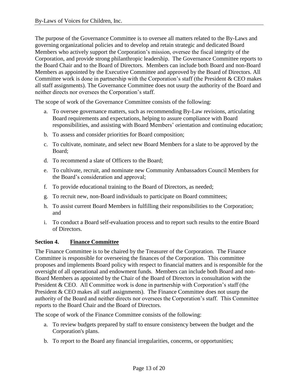The purpose of the Governance Committee is to oversee all matters related to the By-Laws and governing organizational policies and to develop and retain strategic and dedicated Board Members who actively support the Corporation's mission, oversee the fiscal integrity of the Corporation, and provide strong philanthropic leadership. The Governance Committee reports to the Board Chair and to the Board of Directors. Members can include both Board and non-Board Members as appointed by the Executive Committee and approved by the Board of Directors. All Committee work is done in partnership with the Corporation's staff (the President  $&$  CEO makes all staff assignments). The Governance Committee does not usurp the authority of the Board and neither directs nor oversees the Corporation's staff.

The scope of work of the Governance Committee consists of the following:

- a. To oversee governance matters, such as recommending By-Law revisions, articulating Board requirements and expectations, helping to assure compliance with Board responsibilities, and assisting with Board Members' orientation and continuing education;
- b. To assess and consider priorities for Board composition;
- c. To cultivate, nominate, and select new Board Members for a slate to be approved by the Board;
- d. To recommend a slate of Officers to the Board;
- e. To cultivate, recruit, and nominate new Community Ambassadors Council Members for the Board's consideration and approval;
- f. To provide educational training to the Board of Directors, as needed;
- g. To recruit new, non-Board individuals to participate on Board committees;
- h. To assist current Board Members in fulfilling their responsibilities to the Corporation; and
- i. To conduct a Board self-evaluation process and to report such results to the entire Board of Directors.

#### <span id="page-13-0"></span>**Section 4. Finance Committee**

The Finance Committee is to be chaired by the Treasurer of the Corporation. The Finance Committee is responsible for overseeing the finances of the Corporation. This committee proposes and implements Board policy with respect to financial matters and is responsible for the oversight of all operational and endowment funds. Members can include both Board and non-Board Members as appointed by the Chair of the Board of Directors in consultation with the President & CEO. All Committee work is done in partnership with Corporation's staff (the President & CEO makes all staff assignments). The Finance Committee does not usurp the authority of the Board and neither directs nor oversees the Corporation's staff. This Committee reports to the Board Chair and the Board of Directors.

The scope of work of the Finance Committee consists of the following:

- a. To review budgets prepared by staff to ensure consistency between the budget and the Corporation's plans.
- b. To report to the Board any financial irregularities, concerns, or opportunities;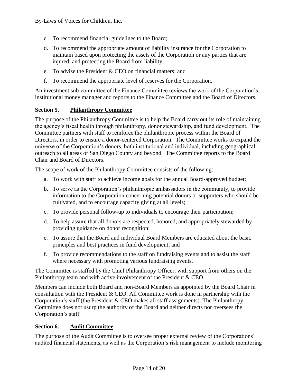- c. To recommend financial guidelines to the Board;
- d. To recommend the appropriate amount of liability insurance for the Corporation to maintain based upon protecting the assets of the Corporation or any parties that are injured, and protecting the Board from liability;
- e. To advise the President & CEO on financial matters; and
- f. To recommend the appropriate level of reserves for the Corporation.

An investment sub-committee of the Finance Committee reviews the work of the Corporation's institutional money manager and reports to the Finance Committee and the Board of Directors.

## <span id="page-14-0"></span>**Section 5. Philanthropy Committee**

The purpose of the Philanthropy Committee is to help the Board carry out its role of maintaining the agency's fiscal health through philanthropy, donor stewardship, and fund development. The Committee partners with staff to reinforce the philanthropic process within the Board of Directors, in order to ensure a donor-centered Corporation. The Committee works to expand the universe of the Corporation's donors, both institutional and individual, including geographical outreach to all areas of San Diego County and beyond. The Committee reports to the Board Chair and Board of Directors.

The scope of work of the Philanthropy Committee consists of the following:

- a. To work with staff to achieve income goals for the annual Board-approved budget;
- b. To serve as the Corporation's philanthropic ambassadors in the community, to provide information to the Corporation concerning potential donors or supporters who should be cultivated, and to encourage capacity giving at all levels;
- c. To provide personal follow-up to individuals to encourage their participation;
- d. To help assure that all donors are respected, honored, and appropriately stewarded by providing guidance on donor recognition;
- e. To assure that the Board and individual Board Members are educated about the basic principles and best practices in fund development; and
- f. To provide recommendations to the staff on fundraising events and to assist the staff where necessary with promoting various fundraising events.

The Committee is staffed by the Chief Philanthropy Officer, with support from others on the Philanthropy team and with active involvement of the President & CEO.

Members can include both Board and non-Board Members as appointed by the Board Chair in consultation with the President & CEO. All Committee work is done in partnership with the Corporation's staff (the President & CEO makes all staff assignments). The Philanthropy Committee does not usurp the authority of the Board and neither directs nor oversees the Corporation's staff.

#### <span id="page-14-1"></span>**Section 6. Audit Committee**

The purpose of the Audit Committee is to oversee proper external review of the Corporations' audited financial statements, as well as the Corporation's risk management to include monitoring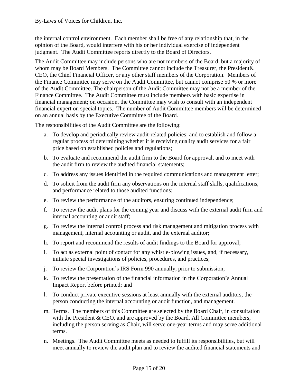the internal control environment. Each member shall be free of any relationship that, in the opinion of the Board, would interfere with his or her individual exercise of independent judgment. The Audit Committee reports directly to the Board of Directors.

The Audit Committee may include persons who are not members of the Board, but a majority of whom may be Board Members. The Committee cannot include the Treasurer, the President& CEO, the Chief Financial Officer, or any other staff members of the Corporation. Members of the Finance Committee may serve on the Audit Committee, but cannot comprise 50 % or more of the Audit Committee. The chairperson of the Audit Committee may not be a member of the Finance Committee. The Audit Committee must include members with basic expertise in financial management; on occasion, the Committee may wish to consult with an independent financial expert on special topics. The number of Audit Committee members will be determined on an annual basis by the Executive Committee of the Board.

The responsibilities of the Audit Committee are the following:

- a. To develop and periodically review audit-related policies; and to establish and follow a regular process of determining whether it is receiving quality audit services for a fair price based on established policies and regulations;
- b. To evaluate and recommend the audit firm to the Board for approval, and to meet with the audit firm to review the audited financial statements;
- c. To address any issues identified in the required communications and management letter;
- d. To solicit from the audit firm any observations on the internal staff skills, qualifications, and performance related to those audited functions;
- e. To review the performance of the auditors, ensuring continued independence;
- f. To review the audit plans for the coming year and discuss with the external audit firm and internal accounting or audit staff;
- g. To review the internal control process and risk management and mitigation process with management, internal accounting or audit, and the external auditor;
- h. To report and recommend the results of audit findings to the Board for approval;
- i. To act as external point of contact for any whistle-blowing issues, and, if necessary, initiate special investigations of policies, procedures, and practices;
- j. To review the Corporation's IRS Form 990 annually, prior to submission;
- k. To review the presentation of the financial information in the Corporation's Annual Impact Report before printed; and
- l. To conduct private executive sessions at least annually with the external auditors, the person conducting the internal accounting or audit function, and management.
- m. Terms. The members of this Committee are selected by the Board Chair, in consultation with the President & CEO, and are approved by the Board. All Committee members, including the person serving as Chair, will serve one-year terms and may serve additional terms.
- n. Meetings. The Audit Committee meets as needed to fulfill its responsibilities, but will meet annually to review the audit plan and to review the audited financial statements and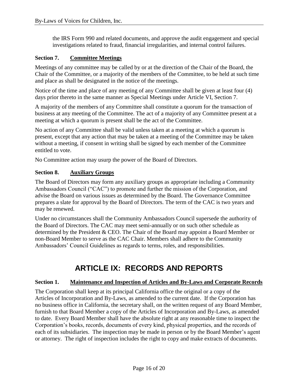the IRS Form 990 and related documents, and approve the audit engagement and special investigations related to fraud, financial irregularities, and internal control failures.

## <span id="page-16-0"></span>**Section 7. Committee Meetings**

Meetings of any committee may be called by or at the direction of the Chair of the Board, the Chair of the Committee, or a majority of the members of the Committee, to be held at such time and place as shall be designated in the notice of the meetings.

Notice of the time and place of any meeting of any Committee shall be given at least four (4) days prior thereto in the same manner as Special Meetings under Article VI, Section 7.

A majority of the members of any Committee shall constitute a quorum for the transaction of business at any meeting of the Committee. The act of a majority of any Committee present at a meeting at which a quorum is present shall be the act of the Committee.

No action of any Committee shall be valid unless taken at a meeting at which a quorum is present, except that any action that may be taken at a meeting of the Committee may be taken without a meeting, if consent in writing shall be signed by each member of the Committee entitled to vote.

No Committee action may usurp the power of the Board of Directors.

### <span id="page-16-1"></span>**Section 8. Auxiliary Groups**

The Board of Directors may form any auxiliary groups as appropriate including a Community Ambassadors Council ("CAC") to promote and further the mission of the Corporation, and advise the Board on various issues as determined by the Board. The Governance Committee prepares a slate for approval by the Board of Directors. The term of the CAC is two years and may be renewed.

Under no circumstances shall the Community Ambassadors Council supersede the authority of the Board of Directors. The CAC may meet semi-annually or on such other schedule as determined by the President & CEO. The Chair of the Board may appoint a Board Member or non-Board Member to serve as the CAC Chair. Members shall adhere to the Community Ambassadors' Council Guidelines as regards to terms, roles, and responsibilities.

## **ARTICLE IX: RECORDS AND REPORTS**

#### <span id="page-16-3"></span><span id="page-16-2"></span>**Section 1. Maintenance and Inspection of Articles and By-Laws and Corporate Records**

The Corporation shall keep at its principal California office the original or a copy of the Articles of Incorporation and By-Laws, as amended to the current date. If the Corporation has no business office in California, the secretary shall, on the written request of any Board Member, furnish to that Board Member a copy of the Articles of Incorporation and By-Laws, as amended to date. Every Board Member shall have the absolute right at any reasonable time to inspect the Corporation's books, records, documents of every kind, physical properties, and the records of each of its subsidiaries. The inspection may be made in person or by the Board Member's agent or attorney. The right of inspection includes the right to copy and make extracts of documents.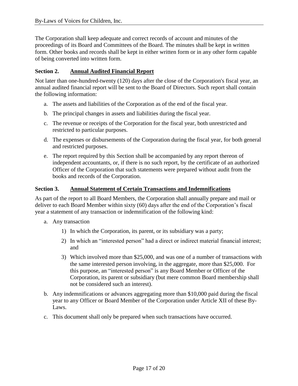The Corporation shall keep adequate and correct records of account and minutes of the proceedings of its Board and Committees of the Board. The minutes shall be kept in written form. Other books and records shall be kept in either written form or in any other form capable of being converted into written form.

## <span id="page-17-0"></span>**Section 2. Annual Audited Financial Report**

Not later than one-hundred-twenty (120) days after the close of the Corporation's fiscal year, an annual audited financial report will be sent to the Board of Directors. Such report shall contain the following information:

- a. The assets and liabilities of the Corporation as of the end of the fiscal year.
- b. The principal changes in assets and liabilities during the fiscal year.
- c. The revenue or receipts of the Corporation for the fiscal year, both unrestricted and restricted to particular purposes.
- d. The expenses or disbursements of the Corporation during the fiscal year, for both general and restricted purposes.
- e. The report required by this Section shall be accompanied by any report thereon of independent accountants, or, if there is no such report, by the certificate of an authorized Officer of the Corporation that such statements were prepared without audit from the books and records of the Corporation.

### <span id="page-17-1"></span>**Section 3. Annual Statement of Certain Transactions and Indemnifications**

As part of the report to all Board Members, the Corporation shall annually prepare and mail or deliver to each Board Member within sixty (60) days after the end of the Corporation's fiscal year a statement of any transaction or indemnification of the following kind:

- a. Any transaction
	- 1) In which the Corporation, its parent, or its subsidiary was a party;
	- 2) In which an "interested person" had a direct or indirect material financial interest; and
	- 3) Which involved more than \$25,000, and was one of a number of transactions with the same interested person involving, in the aggregate, more than \$25,000. For this purpose, an "interested person" is any Board Member or Officer of the Corporation, its parent or subsidiary (but mere common Board membership shall not be considered such an interest).
- b. Any indemnifications or advances aggregating more than \$10,000 paid during the fiscal year to any Officer or Board Member of the Corporation under Article XII of these By-Laws.
- c. This document shall only be prepared when such transactions have occurred.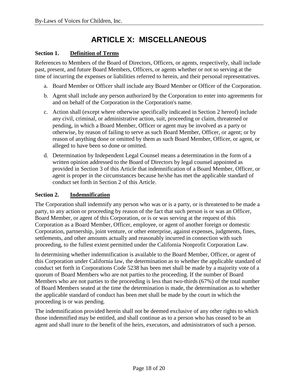## **ARTICLE X: MISCELLANEOUS**

### <span id="page-18-1"></span><span id="page-18-0"></span>**Section 1. Definition of Terms**

References to Members of the Board of Directors, Officers, or agents, respectively, shall include past, present, and future Board Members, Officers, or agents whether or not so serving at the time of incurring the expenses or liabilities referred to herein, and their personal representatives.

- a. Board Member or Officer shall include any Board Member or Officer of the Corporation.
- b. Agent shall include any person authorized by the Corporation to enter into agreements for and on behalf of the Corporation in the Corporation's name.
- c. Action shall (except where otherwise specifically indicated in Section 2 hereof) include any civil, criminal, or administrative action, suit, proceeding or claim, threatened or pending, in which a Board Member, Officer or agent may be involved as a party or otherwise, by reason of failing to serve as such Board Member, Officer, or agent; or by reason of anything done or omitted by them as such Board Member, Officer, or agent, or alleged to have been so done or omitted.
- d. Determination by Independent Legal Counsel means a determination in the form of a written opinion addressed to the Board of Directors by legal counsel appointed as provided in Section 3 of this Article that indemnification of a Board Member, Officer, or agent is proper in the circumstances because he/she has met the applicable standard of conduct set forth in Section 2 of this Article.

#### <span id="page-18-2"></span>**Section 2. Indemnification**

The Corporation shall indemnify any person who was or is a party, or is threatened to be made a party, to any action or proceeding by reason of the fact that such person is or was an Officer, Board Member, or agent of this Corporation, or is or was serving at the request of this Corporation as a Board Member, Officer, employee, or agent of another foreign or domestic Corporation, partnership, joint venture, or other enterprise, against expenses, judgments, fines, settlements, and other amounts actually and reasonably incurred in connection with such proceeding, to the fullest extent permitted under the California Nonprofit Corporation Law.

In determining whether indemnification is available to the Board Member, Officer, or agent of this Corporation under California law, the determination as to whether the applicable standard of conduct set forth in Corporations Code 5238 has been met shall be made by a majority vote of a quorum of Board Members who are not parties to the proceeding. If the number of Board Members who are not parties to the proceeding is less than two-thirds (67%) of the total number of Board Members seated at the time the determination is made, the determination as to whether the applicable standard of conduct has been met shall be made by the court in which the proceeding is or was pending.

The indemnification provided herein shall not be deemed exclusive of any other rights to which those indemnified may be entitled, and shall continue as to a person who has ceased to be an agent and shall inure to the benefit of the heirs, executors, and administrators of such a person.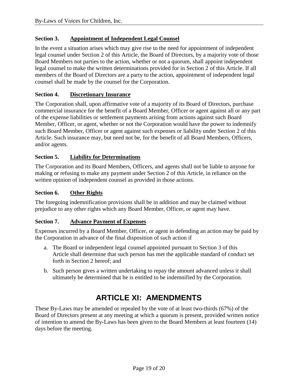## <span id="page-19-0"></span>**Section 3. Appointment of Independent Legal Counsel**

In the event a situation arises which may give rise to the need for appointment of independent legal counsel under Section 2 of this Article, the Board of Directors, by a majority vote of those Board Members not parties to the action, whether or not a quorum, shall appoint independent legal counsel to make the written determinations provided for in Section 2 of this Article. If all members of the Board of Directors are a party to the action, appointment of independent legal counsel shall be made by the counsel for the Corporation.

#### <span id="page-19-1"></span>**Section 4. Discretionary Insurance**

The Corporation shall, upon affirmative vote of a majority of its Board of Directors, purchase commercial insurance for the benefit of a Board Member, Officer or agent against all or any part of the expense liabilities or settlement payments arising from actions against such Board Member, Officer, or agent, whether or not the Corporation would have the power to indemnify such Board Member, Officer or agent against such expenses or liability under Section 2 of this Article. Such insurance may, but need not be, for the benefit of all Board Members, Officers, and/or agents.

### <span id="page-19-2"></span>**Section 5. Liability for Determinations**

The Corporation and its Board Members, Officers, and agents shall not be liable to anyone for making or refusing to make any payment under Section 2 of this Article, in reliance on the written opinion of independent counsel as provided in those actions.

### <span id="page-19-3"></span>**Section 6. Other Rights**

The foregoing indemnification provisions shall be in addition and may be claimed without prejudice to any other rights which any Board Member, Officer, or agent may have.

#### <span id="page-19-4"></span>**Section 7. Advance Payment of Expenses**

Expenses incurred by a Board Member, Officer, or agent in defending an action may be paid by the Corporation in advance of the final disposition of such action if

- a. The Board or independent legal counsel appointed pursuant to Section 3 of this Article shall determine that such person has met the applicable standard of conduct set forth in Section 2 hereof; and
- b. Such person gives a written undertaking to repay the amount advanced unless it shall ultimately be determined that he is entitled to be indemnified by the Corporation.

## **ARTICLE XI: AMENDMENTS**

<span id="page-19-5"></span>These By-Laws may be amended or repealed by the vote of at least two-thirds (67%) of the Board of Directors present at any meeting at which a quorum is present, provided written notice of intention to amend the By-Laws has been given to the Board Members at least fourteen (14) days before the meeting.